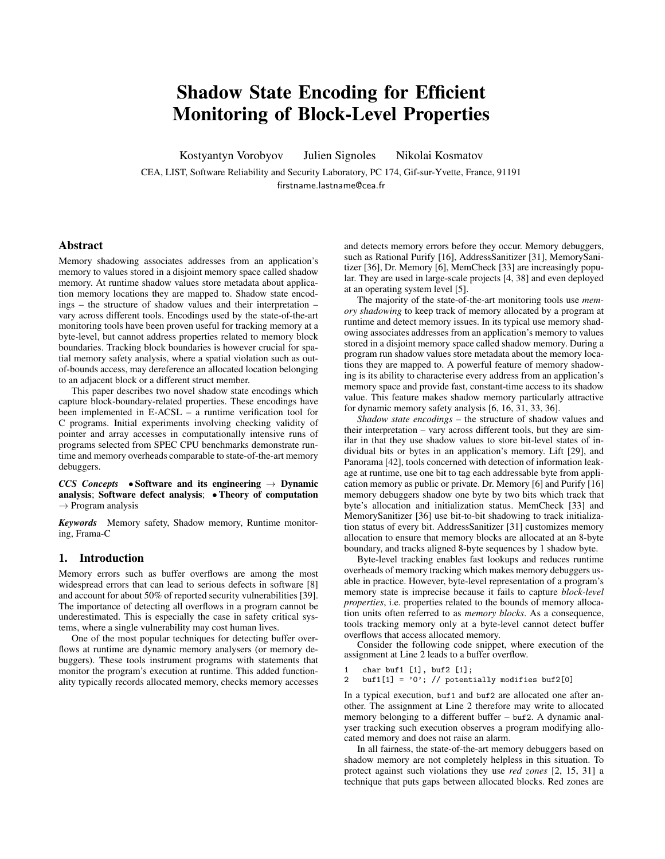# Shadow State Encoding for Efficient Monitoring of Block-Level Properties

Kostyantyn Vorobyov Julien Signoles Nikolai Kosmatov

CEA, LIST, Software Reliability and Security Laboratory, PC 174, Gif-sur-Yvette, France, 91191 firstname.lastname@cea.fr

## Abstract

Memory shadowing associates addresses from an application's memory to values stored in a disjoint memory space called shadow memory. At runtime shadow values store metadata about application memory locations they are mapped to. Shadow state encodings – the structure of shadow values and their interpretation – vary across different tools. Encodings used by the state-of-the-art monitoring tools have been proven useful for tracking memory at a byte-level, but cannot address properties related to memory block boundaries. Tracking block boundaries is however crucial for spatial memory safety analysis, where a spatial violation such as outof-bounds access, may dereference an allocated location belonging to an adjacent block or a different struct member.

This paper describes two novel shadow state encodings which capture block-boundary-related properties. These encodings have been implemented in E-ACSL – a runtime verification tool for C programs. Initial experiments involving checking validity of pointer and array accesses in computationally intensive runs of programs selected from SPEC CPU benchmarks demonstrate runtime and memory overheads comparable to state-of-the-art memory debuggers.

*CCS Concepts* • Software and its engineering  $\rightarrow$  Dynamic analysis; Software defect analysis; • Theory of computation  $\rightarrow$  Program analysis

*Keywords* Memory safety, Shadow memory, Runtime monitoring, Frama-C

## 1. Introduction

Memory errors such as buffer overflows are among the most widespread errors that can lead to serious defects in software [\[8\]](#page-10-0) and account for about 50% of reported security vulnerabilities [\[39\]](#page-11-0). The importance of detecting all overflows in a program cannot be underestimated. This is especially the case in safety critical systems, where a single vulnerability may cost human lives.

One of the most popular techniques for detecting buffer overflows at runtime are dynamic memory analysers (or memory debuggers). These tools instrument programs with statements that monitor the program's execution at runtime. This added functionality typically records allocated memory, checks memory accesses

and detects memory errors before they occur. Memory debuggers, such as Rational Purify [\[16\]](#page-10-1), AddressSanitizer [\[31\]](#page-10-2), MemorySanitizer [\[36\]](#page-10-3), Dr. Memory [\[6\]](#page-10-4), MemCheck [\[33\]](#page-10-5) are increasingly popular. They are used in large-scale projects [\[4,](#page-10-6) [38\]](#page-10-7) and even deployed at an operating system level [\[5\]](#page-10-8).

The majority of the state-of-the-art monitoring tools use *memory shadowing* to keep track of memory allocated by a program at runtime and detect memory issues. In its typical use memory shadowing associates addresses from an application's memory to values stored in a disjoint memory space called shadow memory. During a program run shadow values store metadata about the memory locations they are mapped to. A powerful feature of memory shadowing is its ability to characterise every address from an application's memory space and provide fast, constant-time access to its shadow value. This feature makes shadow memory particularly attractive for dynamic memory safety analysis [\[6,](#page-10-4) [16,](#page-10-1) [31,](#page-10-2) [33,](#page-10-5) [36\]](#page-10-3).

*Shadow state encodings* – the structure of shadow values and their interpretation – vary across different tools, but they are similar in that they use shadow values to store bit-level states of individual bits or bytes in an application's memory. Lift [\[29\]](#page-10-9), and Panorama [\[42\]](#page-11-1), tools concerned with detection of information leakage at runtime, use one bit to tag each addressable byte from application memory as public or private. Dr. Memory [\[6\]](#page-10-4) and Purify [\[16\]](#page-10-1) memory debuggers shadow one byte by two bits which track that byte's allocation and initialization status. MemCheck [\[33\]](#page-10-5) and MemorySanitizer [\[36\]](#page-10-3) use bit-to-bit shadowing to track initialization status of every bit. AddressSanitizer [\[31\]](#page-10-2) customizes memory allocation to ensure that memory blocks are allocated at an 8-byte boundary, and tracks aligned 8-byte sequences by 1 shadow byte.

Byte-level tracking enables fast lookups and reduces runtime overheads of memory tracking which makes memory debuggers usable in practice. However, byte-level representation of a program's memory state is imprecise because it fails to capture *block-level properties*, i.e. properties related to the bounds of memory allocation units often referred to as *memory blocks*. As a consequence, tools tracking memory only at a byte-level cannot detect buffer overflows that access allocated memory.

Consider the following code snippet, where execution of the assignment at Line 2 leads to a buffer overflow.

1 char buf1 [1], buf2 [1];

2 buf1[1] =  $'0'$ ; // potentially modifies buf2[0]

In a typical execution, buf1 and buf2 are allocated one after another. The assignment at Line 2 therefore may write to allocated memory belonging to a different buffer – buf2. A dynamic analyser tracking such execution observes a program modifying allocated memory and does not raise an alarm.

In all fairness, the state-of-the-art memory debuggers based on shadow memory are not completely helpless in this situation. To protect against such violations they use *red zones* [\[2,](#page-10-10) [15,](#page-10-11) [31\]](#page-10-2) a technique that puts gaps between allocated blocks. Red zones are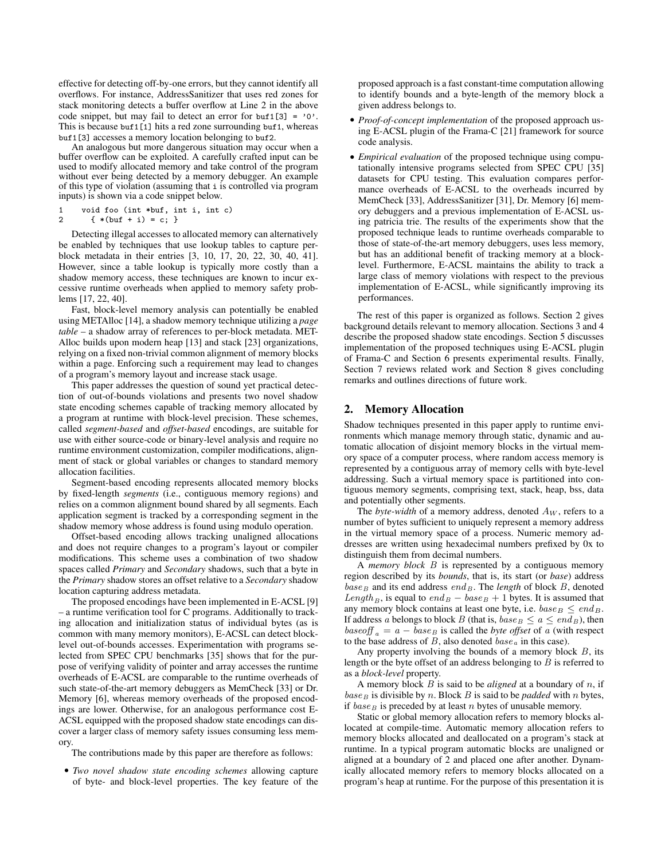effective for detecting off-by-one errors, but they cannot identify all overflows. For instance, AddressSanitizer that uses red zones for stack monitoring detects a buffer overflow at Line 2 in the above code snippet, but may fail to detect an error for buf1[3] =  $'0'$ . This is because buf1[1] hits a red zone surrounding buf1, whereas buf1[3] accesses a memory location belonging to buf2.

An analogous but more dangerous situation may occur when a buffer overflow can be exploited. A carefully crafted input can be used to modify allocated memory and take control of the program without ever being detected by a memory debugger. An example of this type of violation (assuming that i is controlled via program inputs) is shown via a code snippet below.

1 void foo (int \*buf, int i, int c) 2 { \*(buf + i) = c; }

Detecting illegal accesses to allocated memory can alternatively be enabled by techniques that use lookup tables to capture perblock metadata in their entries [\[3,](#page-10-12) [10,](#page-10-13) [17,](#page-10-14) [20,](#page-10-15) [22,](#page-10-16) [30,](#page-10-17) [40,](#page-11-2) [41\]](#page-11-3). However, since a table lookup is typically more costly than a shadow memory access, these techniques are known to incur excessive runtime overheads when applied to memory safety problems [\[17,](#page-10-14) [22,](#page-10-16) [40\]](#page-11-2).

Fast, block-level memory analysis can potentially be enabled using METAlloc [\[14\]](#page-10-18), a shadow memory technique utilizing a *page table* – a shadow array of references to per-block metadata. MET-Alloc builds upon modern heap [\[13\]](#page-10-19) and stack [\[23\]](#page-10-20) organizations, relying on a fixed non-trivial common alignment of memory blocks within a page. Enforcing such a requirement may lead to changes of a program's memory layout and increase stack usage.

This paper addresses the question of sound yet practical detection of out-of-bounds violations and presents two novel shadow state encoding schemes capable of tracking memory allocated by a program at runtime with block-level precision. These schemes, called *segment-based* and *offset-based* encodings, are suitable for use with either source-code or binary-level analysis and require no runtime environment customization, compiler modifications, alignment of stack or global variables or changes to standard memory allocation facilities.

Segment-based encoding represents allocated memory blocks by fixed-length *segments* (i.e., contiguous memory regions) and relies on a common alignment bound shared by all segments. Each application segment is tracked by a corresponding segment in the shadow memory whose address is found using modulo operation.

Offset-based encoding allows tracking unaligned allocations and does not require changes to a program's layout or compiler modifications. This scheme uses a combination of two shadow spaces called *Primary* and *Secondary* shadows, such that a byte in the *Primary* shadow stores an offset relative to a *Secondary* shadow location capturing address metadata.

The proposed encodings have been implemented in E-ACSL [\[9\]](#page-10-21) – a runtime verification tool for C programs. Additionally to tracking allocation and initialization status of individual bytes (as is common with many memory monitors), E-ACSL can detect blocklevel out-of-bounds accesses. Experimentation with programs selected from SPEC CPU benchmarks [\[35\]](#page-10-22) shows that for the purpose of verifying validity of pointer and array accesses the runtime overheads of E-ACSL are comparable to the runtime overheads of such state-of-the-art memory debuggers as MemCheck [\[33\]](#page-10-5) or Dr. Memory [\[6\]](#page-10-4), whereas memory overheads of the proposed encodings are lower. Otherwise, for an analogous performance cost E-ACSL equipped with the proposed shadow state encodings can discover a larger class of memory safety issues consuming less memory.

The contributions made by this paper are therefore as follows:

• *Two novel shadow state encoding schemes* allowing capture of byte- and block-level properties. The key feature of the

proposed approach is a fast constant-time computation allowing to identify bounds and a byte-length of the memory block a given address belongs to.

- *Proof-of-concept implementation* of the proposed approach using E-ACSL plugin of the Frama-C [\[21\]](#page-10-23) framework for source code analysis.
- *Empirical evaluation* of the proposed technique using computationally intensive programs selected from SPEC CPU [\[35\]](#page-10-22) datasets for CPU testing. This evaluation compares performance overheads of E-ACSL to the overheads incurred by MemCheck [\[33\]](#page-10-5), AddressSanitizer [\[31\]](#page-10-2), Dr. Memory [\[6\]](#page-10-4) memory debuggers and a previous implementation of E-ACSL using patricia trie. The results of the experiments show that the proposed technique leads to runtime overheads comparable to those of state-of-the-art memory debuggers, uses less memory, but has an additional benefit of tracking memory at a blocklevel. Furthermore, E-ACSL maintains the ability to track a large class of memory violations with respect to the previous implementation of E-ACSL, while significantly improving its performances.

The rest of this paper is organized as follows. Section [2](#page-1-0) gives background details relevant to memory allocation. Sections [3](#page-2-0) and [4](#page-3-0) describe the proposed shadow state encodings. Section [5](#page-5-0) discusses implementation of the proposed techniques using E-ACSL plugin of Frama-C and Section [6](#page-6-0) presents experimental results. Finally, Section [7](#page-8-0) reviews related work and Section [8](#page-9-0) gives concluding remarks and outlines directions of future work.

# <span id="page-1-0"></span>2. Memory Allocation

Shadow techniques presented in this paper apply to runtime environments which manage memory through static, dynamic and automatic allocation of disjoint memory blocks in the virtual memory space of a computer process, where random access memory is represented by a contiguous array of memory cells with byte-level addressing. Such a virtual memory space is partitioned into contiguous memory segments, comprising text, stack, heap, bss, data and potentially other segments.

The *byte-width* of a memory address, denoted  $A_W$ , refers to a number of bytes sufficient to uniquely represent a memory address in the virtual memory space of a process. Numeric memory addresses are written using hexadecimal numbers prefixed by 0x to distinguish them from decimal numbers.

A *memory block* B is represented by a contiguous memory region described by its *bounds*, that is, its start (or *base*) address  $base_B$  and its end address  $end_B$ . The *length* of block B, denoted Length<sub>B</sub>, is equal to end B – baseB + 1 bytes. It is assumed that any memory block contains at least one byte, i.e.  $base_B \leq end_B$ . If address a belongs to block B (that is,  $base_B \le a \le end_B$ ), then  $baseoff_a = a - base_B$  is called the *byte offset* of a (with respect to the base address of  $B$ , also denoted  $base_a$  in this case).

Any property involving the bounds of a memory block  $B$ , its length or the byte offset of an address belonging to  $B$  is referred to as a *block-level* property.

A memory block B is said to be *aligned* at a boundary of n, if  $base_B$  is divisible by n. Block B is said to be *padded* with n bytes, if  $base_B$  is preceded by at least n bytes of unusable memory.

Static or global memory allocation refers to memory blocks allocated at compile-time. Automatic memory allocation refers to memory blocks allocated and deallocated on a program's stack at runtime. In a typical program automatic blocks are unaligned or aligned at a boundary of 2 and placed one after another. Dynamically allocated memory refers to memory blocks allocated on a program's heap at runtime. For the purpose of this presentation it is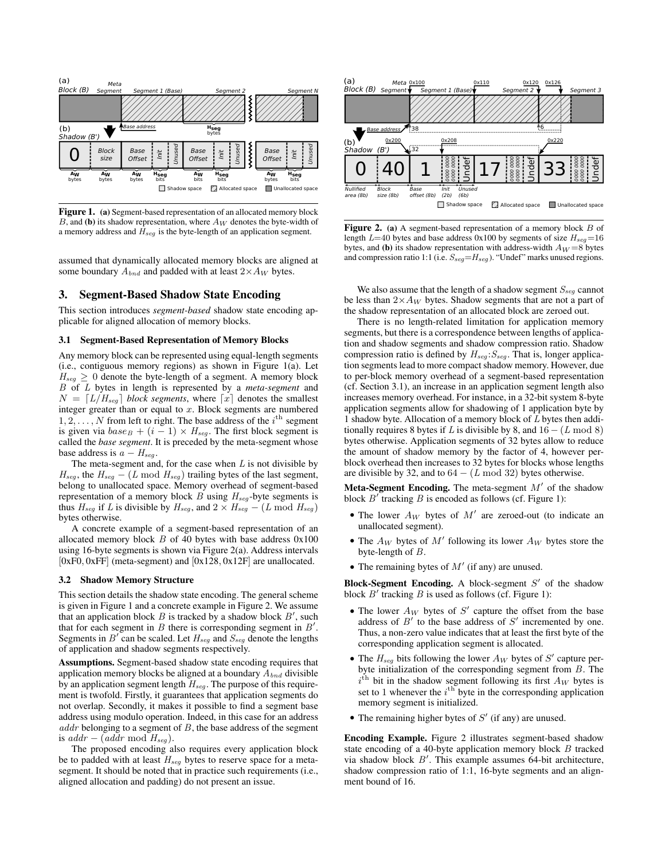

<span id="page-2-1"></span>Figure 1. (a) Segment-based representation of an allocated memory block B, and (b) its shadow representation, where  $A_W$  denotes the byte-width of a memory address and  $H_{seq}$  is the byte-length of an application segment.

assumed that dynamically allocated memory blocks are aligned at some boundary  $A_{bnd}$  and padded with at least  $2\times A_W$  bytes.

## <span id="page-2-0"></span>3. Segment-Based Shadow State Encoding

This section introduces *segment-based* shadow state encoding applicable for aligned allocation of memory blocks.

#### <span id="page-2-3"></span>3.1 Segment-Based Representation of Memory Blocks

Any memory block can be represented using equal-length segments (i.e., contiguous memory regions) as shown in Figure [1\(](#page-2-1)a). Let  $H_{seq} \geq 0$  denote the byte-length of a segment. A memory block B of L bytes in length is represented by a *meta-segment* and  $N = [L/H_{seg}]$  block segments, where  $[x]$  denotes the smallest integer greater than or equal to  $x$ . Block segments are numbered  $1, 2, \ldots, N$  from left to right. The base address of the  $i^{\text{th}}$  segment is given via  $base_B + (i - 1) \times H_{seq}$ . The first block segment is called the *base segment*. It is preceded by the meta-segment whose base address is  $a - H_{seg}$ .

The meta-segment and, for the case when  $L$  is not divisible by  $H_{seg}$ , the  $H_{seg} - (L \mod H_{seg})$  trailing bytes of the last segment, belong to unallocated space. Memory overhead of segment-based representation of a memory block  $B$  using  $H_{seg}$ -byte segments is thus  $H_{seg}$  if L is divisible by  $H_{seg}$ , and  $2 \times H_{seg} - (L \mod H_{seg})$ bytes otherwise.

A concrete example of a segment-based representation of an allocated memory block  $B$  of 40 bytes with base address  $0x100$ using 16-byte segments is shown via Figure [2\(](#page-2-2)a). Address intervals [0xF0, 0xFF] (meta-segment) and [0x128, 0x12F] are unallocated.

#### <span id="page-2-4"></span>3.2 Shadow Memory Structure

This section details the shadow state encoding. The general scheme is given in Figure [1](#page-2-1) and a concrete example in Figure [2.](#page-2-2) We assume that an application block  $B$  is tracked by a shadow block  $B'$ , such that for each segment in  $B$  there is corresponding segment in  $B'$ . Segments in  $B'$  can be scaled. Let  $H_{seg}$  and  $S_{seg}$  denote the lengths of application and shadow segments respectively.

Assumptions. Segment-based shadow state encoding requires that application memory blocks be aligned at a boundary  $A_{bnd}$  divisible by an application segment length  $H_{seg}$ . The purpose of this requirement is twofold. Firstly, it guarantees that application segments do not overlap. Secondly, it makes it possible to find a segment base address using modulo operation. Indeed, in this case for an address  $addr$  belonging to a segment of  $B$ , the base address of the segment is  $addr - (addr \mod H_{seg}).$ 

The proposed encoding also requires every application block be to padded with at least  $H_{seg}$  bytes to reserve space for a metasegment. It should be noted that in practice such requirements (i.e., aligned allocation and padding) do not present an issue.



<span id="page-2-2"></span>Figure 2. (a) A segment-based representation of a memory block B of length  $L=40$  bytes and base address 0x100 by segments of size  $H_{seg}=16$ bytes, and (b) its shadow representation with address-width  $A_W = 8$  bytes and compression ratio 1:1 (i.e.  $S_{seg} = H_{seg}$ ). "Undef" marks unused regions.

We also assume that the length of a shadow segment  $S_{seg}$  cannot be less than  $2\times A_W$  bytes. Shadow segments that are not a part of the shadow representation of an allocated block are zeroed out.

There is no length-related limitation for application memory segments, but there is a correspondence between lengths of application and shadow segments and shadow compression ratio. Shadow compression ratio is defined by  $H_{seg}$ :  $S_{seg}$ . That is, longer application segments lead to more compact shadow memory. However, due to per-block memory overhead of a segment-based representation (cf. Section [3.1\)](#page-2-3), an increase in an application segment length also increases memory overhead. For instance, in a 32-bit system 8-byte application segments allow for shadowing of 1 application byte by 1 shadow byte. Allocation of a memory block of L bytes then additionally requires 8 bytes if L is divisible by 8, and  $16 - (L \mod 8)$ bytes otherwise. Application segments of 32 bytes allow to reduce the amount of shadow memory by the factor of 4, however perblock overhead then increases to 32 bytes for blocks whose lengths are divisible by 32, and to  $64 - (L \mod 32)$  bytes otherwise.

Meta-Segment Encoding. The meta-segment  $M'$  of the shadow block  $B'$  tracking  $B$  is encoded as follows (cf. Figure [1\)](#page-2-1):

- The lower  $A_W$  bytes of  $M'$  are zeroed-out (to indicate an unallocated segment).
- The  $A_W$  bytes of  $M'$  following its lower  $A_W$  bytes store the byte-length of B.
- The remaining bytes of  $M'$  (if any) are unused.

Block-Segment Encoding. A block-segment  $S'$  of the shadow block  $B'$  tracking  $B$  is used as follows (cf. Figure [1\)](#page-2-1):

- The lower  $A_W$  bytes of  $S'$  capture the offset from the base address of  $B'$  to the base address of  $S'$  incremented by one. Thus, a non-zero value indicates that at least the first byte of the corresponding application segment is allocated.
- The  $H_{seg}$  bits following the lower  $A_W$  bytes of  $S'$  capture perbyte initialization of the corresponding segment from  $B$ . The  $i^{\text{th}}$  bit in the shadow segment following its first  $A_W$  bytes is set to 1 whenever the  $i^{\text{th}}$  byte in the corresponding application memory segment is initialized.
- The remaining higher bytes of  $S'$  (if any) are unused.

Encoding Example. Figure [2](#page-2-2) illustrates segment-based shadow state encoding of a 40-byte application memory block B tracked via shadow block  $B'$ . This example assumes 64-bit architecture, shadow compression ratio of 1:1, 16-byte segments and an alignment bound of 16.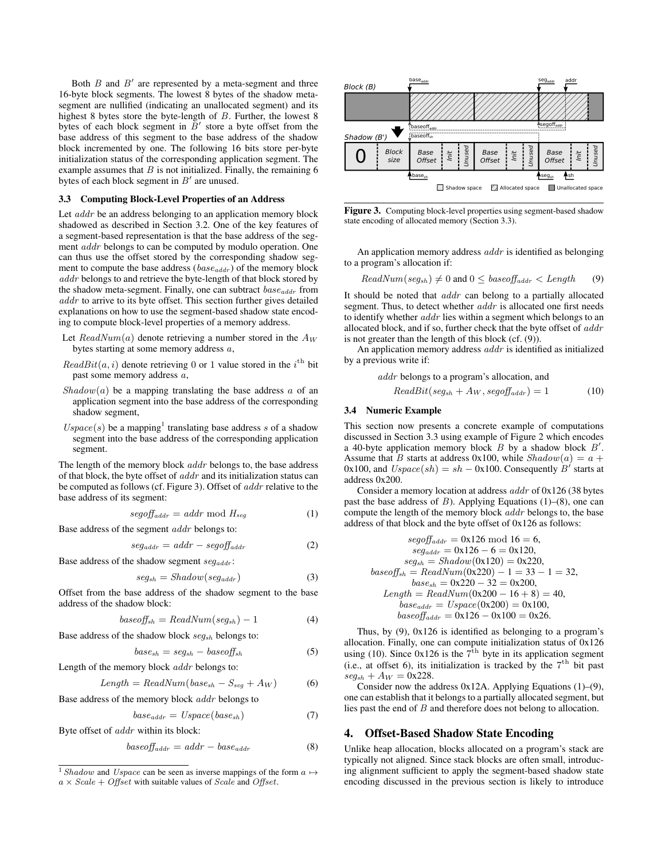Both  $B$  and  $B'$  are represented by a meta-segment and three 16-byte block segments. The lowest 8 bytes of the shadow metasegment are nullified (indicating an unallocated segment) and its highest 8 bytes store the byte-length of B. Further, the lowest 8 bytes of each block segment in  $B'$  store a byte offset from the base address of this segment to the base address of the shadow block incremented by one. The following 16 bits store per-byte initialization status of the corresponding application segment. The example assumes that  $B$  is not initialized. Finally, the remaining 6 bytes of each block segment in  $B'$  are unused.

#### <span id="page-3-3"></span>3.3 Computing Block-Level Properties of an Address

Let  $addr$  be an address belonging to an application memory block shadowed as described in Section [3.2.](#page-2-4) One of the key features of a segment-based representation is that the base address of the segment *addr* belongs to can be computed by modulo operation. One can thus use the offset stored by the corresponding shadow segment to compute the base address ( $base_{addr}$ ) of the memory block addr belongs to and retrieve the byte-length of that block stored by the shadow meta-segment. Finally, one can subtract  $base_{addr}$  from addr to arrive to its byte offset. This section further gives detailed explanations on how to use the segment-based shadow state encoding to compute block-level properties of a memory address.

- Let  $ReadNum(a)$  denote retrieving a number stored in the  $A_W$ bytes starting at some memory address a,
- $ReadBit(a, i)$  denote retrieving 0 or 1 value stored in the i<sup>th</sup> bit past some memory address a,
- $Shadow(a)$  be a mapping translating the base address a of an application segment into the base address of the corresponding shadow segment,
- $Uspace(s)$  be a mapping<sup>[1](#page-3-1)</sup> translating base address s of a shadow segment into the base address of the corresponding application segment.

The length of the memory block addr belongs to, the base address of that block, the byte offset of addr and its initialization status can be computed as follows (cf. Figure [3\)](#page-3-2). Offset of *addr* relative to the base address of its segment:

<span id="page-3-5"></span>
$$
segoff_{addr} = addr \bmod H_{seg} \tag{1}
$$

Base address of the segment addr belongs to:

$$
seg_{addr} = addr - segoff_{addr} \tag{2}
$$

Base address of the shadow segment  $seg_{addr}$ :

$$
seg_{sh} = Shadow(seq_{addr})
$$
 (3)

Offset from the base address of the shadow segment to the base address of the shadow block:

$$
baseoff_{sh} = ReadNum(seq_{sh}) - 1
$$
 (4)

Base address of the shadow block  $seq_{sh}$  belongs to:

$$
base_{sh} = seg_{sh} - baseoff_{sh} \tag{5}
$$

Length of the memory block *addr* belongs to:

$$
Length = ReadNum(base_{sh} - S_{seg} + A_W)
$$
 (6)

Base address of the memory block addr belongs to

<span id="page-3-6"></span>
$$
base_{addr} = Uspace(base_{sh}) \tag{7}
$$

Byte offset of addr within its block:

$$
baseoff_{addr} = addr - base_{addr} \tag{8}
$$



<span id="page-3-2"></span>Figure 3. Computing block-level properties using segment-based shadow state encoding of allocated memory (Section [3.3\)](#page-3-3).

An application memory address  $addr$  is identified as belonging to a program's allocation if:

<span id="page-3-4"></span>
$$
ReadNum(seq_{sh}) \neq 0 \text{ and } 0 \leq baseoff_{addr} < Length \qquad (9)
$$

It should be noted that addr can belong to a partially allocated segment. Thus, to detect whether *addr* is allocated one first needs to identify whether *addr* lies within a segment which belongs to an allocated block, and if so, further check that the byte offset of addr is not greater than the length of this block  $(cf. (9))$  $(cf. (9))$  $(cf. (9))$ .

An application memory address addr is identified as initialized by a previous write if:

<span id="page-3-7"></span>*addr* belongs to a program's allocation, and  
\n*ReadBit*(
$$
seg_{sh} + Aw
$$
,  $segoff_{addr}$ ) = 1 (10)

## 3.4 Numeric Example

This section now presents a concrete example of computations discussed in Section [3.3](#page-3-3) using example of Figure [2](#page-2-2) which encodes a 40-byte application memory block  $B$  by a shadow block  $B'$ . Assume that B starts at address 0x100, while  $Shadow(a) = a +$ 0x100, and  $Uspace(sh) = sh - 0x100$ . Consequently  $B^{\prime}$  starts at address 0x200.

Consider a memory location at address addr of 0x126 (38 bytes past the base address of  $B$ ). Applying Equations [\(1\)](#page-3-5)–[\(8\)](#page-3-6), one can compute the length of the memory block addr belongs to, the base address of that block and the byte offset of 0x126 as follows:

$$
segoff_{addr} = 0x126 \mod 16 = 6,
$$
  
\n
$$
seg_{addr} = 0x126 - 6 = 0x120,
$$
  
\n
$$
seg_{sh} = Shadow(0x120) = 0x220,
$$
  
\n
$$
base_{sh} = ReadNum(0x220) - 1 = 33 - 1 = 32,
$$
  
\n
$$
base_{sh} = 0x220 - 32 = 0x200,
$$
  
\nLength = ReadNum(0x200 - 16 + 8) = 40,  
\n
$$
base_{addr} = Useace(0x200) = 0x100,
$$
  
\n
$$
base_{addr} = 0x126 - 0x100 = 0x26.
$$

Thus, by [\(9\)](#page-3-4), 0x126 is identified as belonging to a program's allocation. Finally, one can compute initialization status of 0x126 using [\(10\)](#page-3-7). Since 0x126 is the  $7<sup>th</sup>$  byte in its application segment (i.e., at offset 6), its initialization is tracked by the  $7<sup>th</sup>$  bit past  $seq_{sh} + Aw = 0x228.$ 

Consider now the address 0x12A. Applying Equations [\(1\)](#page-3-5)–[\(9\)](#page-3-4), one can establish that it belongs to a partially allocated segment, but lies past the end of B and therefore does not belong to allocation.

## <span id="page-3-0"></span>4. Offset-Based Shadow State Encoding

Unlike heap allocation, blocks allocated on a program's stack are typically not aligned. Since stack blocks are often small, introducing alignment sufficient to apply the segment-based shadow state encoding discussed in the previous section is likely to introduce

<span id="page-3-1"></span> $1$  Shadow and Uspace can be seen as inverse mappings of the form  $a \mapsto$  $a \times Scale + Offset$  with suitable values of *Scale* and *Offset*.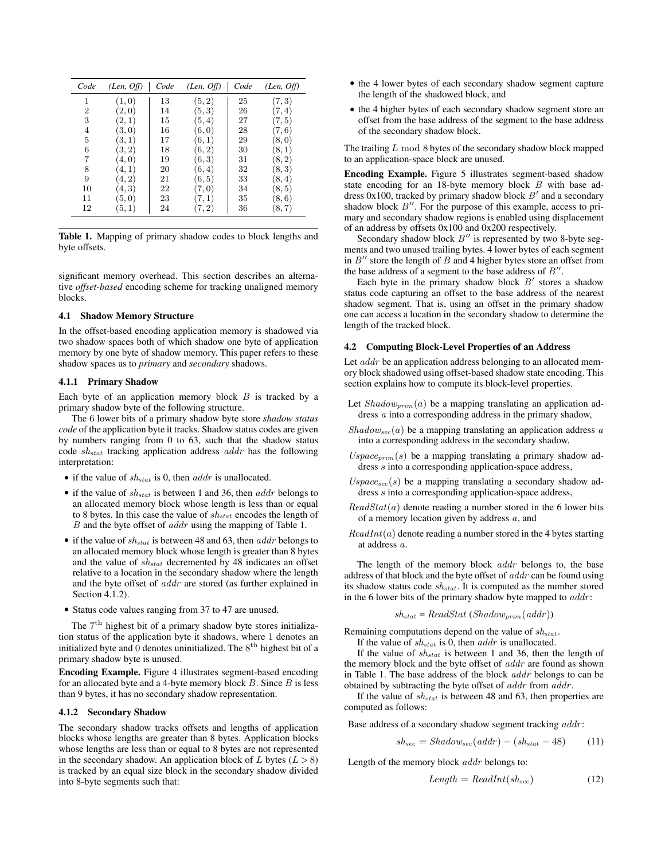| Code           | (Len, Off) | Code | (Len, Off) | Code | (Len, Off) |
|----------------|------------|------|------------|------|------------|
| 1              | (1,0)      | 13   | (5, 2)     | 25   | (7, 3)     |
| $\overline{2}$ | (2,0)      | 14   | (5,3)      | 26   | (7, 4)     |
| 3              | (2,1)      | 15   | (5, 4)     | 27   | (7, 5)     |
| 4              | (3,0)      | 16   | (6, 0)     | 28   | (7, 6)     |
| 5              | (3,1)      | 17   | (6, 1)     | 29   | (8,0)      |
| 6              | (3, 2)     | 18   | (6, 2)     | 30   | (8,1)      |
| 7              | 4,0)       | 19   | (6, 3)     | 31   | (8, 2)     |
| 8              | (4, 1)     | 20   | (6, 4)     | 32   | (8, 3)     |
| 9              | (4, 2)     | 21   | (6, 5)     | 33   | (8, 4)     |
| 10             | (4,3)      | 22   | (7,0)      | 34   | (8, 5)     |
| 11             | (5,0)      | 23   | (7,1)      | 35   | (8, 6)     |
| 12             | (5,1)      | 24   | (7, 2)     | 36   | (8,7)      |

<span id="page-4-0"></span>Table 1. Mapping of primary shadow codes to block lengths and byte offsets.

significant memory overhead. This section describes an alternative *offset-based* encoding scheme for tracking unaligned memory blocks.

## 4.1 Shadow Memory Structure

In the offset-based encoding application memory is shadowed via two shadow spaces both of which shadow one byte of application memory by one byte of shadow memory. This paper refers to these shadow spaces as to *primary* and *secondary* shadows.

## 4.1.1 Primary Shadow

Each byte of an application memory block  $B$  is tracked by a primary shadow byte of the following structure.

The 6 lower bits of a primary shadow byte store *shadow status code* of the application byte it tracks. Shadow status codes are given by numbers ranging from 0 to 63, such that the shadow status code  $sh_{stat}$  tracking application address  $addr$  has the following interpretation:

- if the value of  $sh_{stat}$  is 0, then  $addr$  is unallocated.
- if the value of  $sh_{stat}$  is between 1 and 36, then  $addr$  belongs to an allocated memory block whose length is less than or equal to 8 bytes. In this case the value of  $sh_{stat}$  encodes the length of B and the byte offset of addr using the mapping of Table [1.](#page-4-0)
- if the value of  $sh_{stat}$  is between 48 and 63, then  $addr$  belongs to an allocated memory block whose length is greater than 8 bytes and the value of  $sh_{stat}$  decremented by 48 indicates an offset relative to a location in the secondary shadow where the length and the byte offset of addr are stored (as further explained in Section [4.1.2\)](#page-4-1).
- Status code values ranging from 37 to 47 are unused.

The 7<sup>th</sup> highest bit of a primary shadow byte stores initialization status of the application byte it shadows, where 1 denotes an initialized byte and  $\overline{0}$  denotes uninitialized. The  $8^{\text{th}}$  highest bit of a primary shadow byte is unused.

Encoding Example. Figure [4](#page-5-1) illustrates segment-based encoding for an allocated byte and a 4-byte memory block  $B$ . Since  $B$  is less than 9 bytes, it has no secondary shadow representation.

#### <span id="page-4-1"></span>4.1.2 Secondary Shadow

The secondary shadow tracks offsets and lengths of application blocks whose lengths are greater than 8 bytes. Application blocks whose lengths are less than or equal to 8 bytes are not represented in the secondary shadow. An application block of  $L$  bytes  $(L > 8)$ is tracked by an equal size block in the secondary shadow divided into 8-byte segments such that:

- the 4 lower bytes of each secondary shadow segment capture the length of the shadowed block, and
- the 4 higher bytes of each secondary shadow segment store an offset from the base address of the segment to the base address of the secondary shadow block.

The trailing  $L \mod 8$  bytes of the secondary shadow block mapped to an application-space block are unused.

Encoding Example. Figure [5](#page-5-2) illustrates segment-based shadow state encoding for an 18-byte memory block B with base address  $0x100$ , tracked by primary shadow block  $B'$  and a secondary shadow block  $B''$ . For the purpose of this example, access to primary and secondary shadow regions is enabled using displacement of an address by offsets 0x100 and 0x200 respectively.

Secondary shadow block  $B''$  is represented by two 8-byte segments and two unused trailing bytes. 4 lower bytes of each segment in  $B''$  store the length of  $B$  and 4 higher bytes store an offset from the base address of a segment to the base address of  $B''$ .

Each byte in the primary shadow block  $B'$  stores a shadow status code capturing an offset to the base address of the nearest shadow segment. That is, using an offset in the primary shadow one can access a location in the secondary shadow to determine the length of the tracked block.

#### <span id="page-4-2"></span>4.2 Computing Block-Level Properties of an Address

Let *addr* be an application address belonging to an allocated memory block shadowed using offset-based shadow state encoding. This section explains how to compute its block-level properties.

- Let  $\text{Shadow}_{\text{prim}}(a)$  be a mapping translating an application address a into a corresponding address in the primary shadow,
- $Shadow_{sec}(a)$  be a mapping translating an application address a into a corresponding address in the secondary shadow,
- $Uspace_{prim}(s)$  be a mapping translating a primary shadow address s into a corresponding application-space address,
- $Uspace_{sec}(s)$  be a mapping translating a secondary shadow address s into a corresponding application-space address,
- $ReadStat(a)$  denote reading a number stored in the 6 lower bits of a memory location given by address a, and
- $ReadInt(a)$  denote reading a number stored in the 4 bytes starting at address a.

The length of the memory block *addr* belongs to, the base address of that block and the byte offset of addr can be found using its shadow status code  $sh_{stat}$ . It is computed as the number stored in the 6 lower bits of the primary shadow byte mapped to  $\alpha ddr$ :

$$
sh_{stat} = ReadStat\ (Shadow_{prim}(addr))
$$

Remaining computations depend on the value of  $sh_{stat}$ .

If the value of  $sh_{stat}$  is 0, then  $addr$  is unallocated.

If the value of  $sh_{stat}$  is between 1 and 36, then the length of the memory block and the byte offset of *addr* are found as shown in Table [1.](#page-4-0) The base address of the block addr belongs to can be obtained by subtracting the byte offset of addr from addr.

If the value of  $sh_{stat}$  is between 48 and 63, then properties are computed as follows:

Base address of a secondary shadow segment tracking  $addr$ :

$$
sh_{sec} = Shadow_{sec}(addr) - (sh_{stat} - 48)
$$
 (11)

Length of the memory block addr belongs to:

<span id="page-4-4"></span><span id="page-4-3"></span>
$$
Length = ReadInt(sh_{sec})
$$
 (12)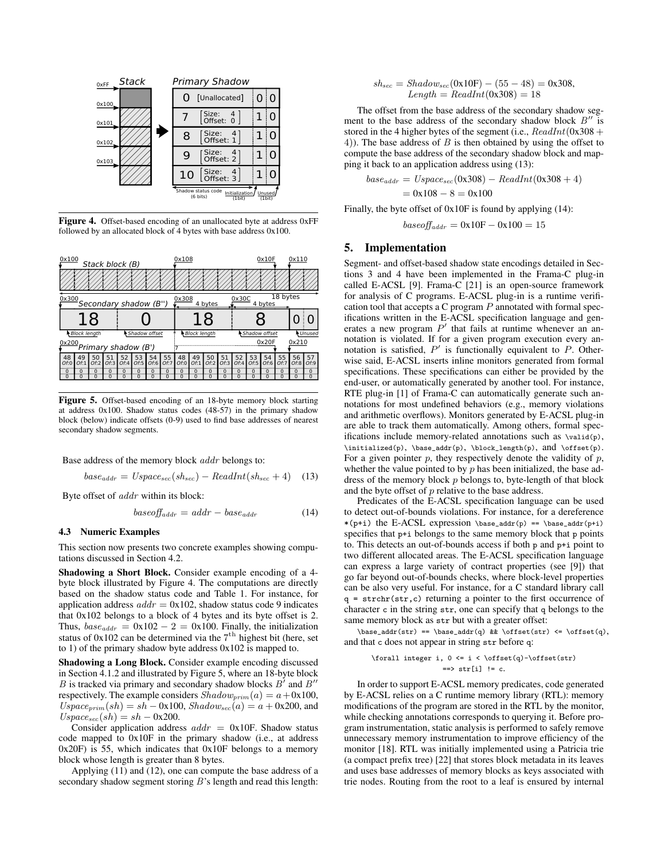

<span id="page-5-1"></span>Figure 4. Offset-based encoding of an unallocated byte at address 0xFF followed by an allocated block of 4 bytes with base address 0x100.



<span id="page-5-2"></span>Figure 5. Offset-based encoding of an 18-byte memory block starting at address 0x100. Shadow status codes (48-57) in the primary shadow block (below) indicate offsets (0-9) used to find base addresses of nearest secondary shadow segments.

Base address of the memory block *addr* belongs to:

$$
base_{addr} = Uspace_{sec}(sh_{sec}) - ReadInt(sh_{sec} + 4) \quad (13)
$$

Byte offset of addr within its block:

<span id="page-5-4"></span>
$$
baseoff_{addr} = addr - base_{addr} \tag{14}
$$

#### 4.3 Numeric Examples

This section now presents two concrete examples showing computations discussed in Section [4.2.](#page-4-2)

Shadowing a Short Block. Consider example encoding of a 4 byte block illustrated by Figure [4.](#page-5-1) The computations are directly based on the shadow status code and Table [1.](#page-4-0) For instance, for application address  $addr = 0x102$ , shadow status code 9 indicates that 0x102 belongs to a block of 4 bytes and its byte offset is 2. Thus,  $base_{addr} = 0x102 - 2 = 0x100$ . Finally, the initialization status of  $0x102$  can be determined via the  $7<sup>th</sup>$  highest bit (here, set to 1) of the primary shadow byte address 0x102 is mapped to.

Shadowing a Long Block. Consider example encoding discussed in Section [4.1.2](#page-4-1) and illustrated by Figure [5,](#page-5-2) where an 18-byte block B is tracked via primary and secondary shadow blocks  $B'$  and  $B''$ respectively. The example considers  $Shadow_{prim}(a) = a + 0x100$ ,  $Uspace_{prim}(sh) = sh - 0x100$ ,  $Shadow_{sec}(a) = a + 0x200$ , and  $Uspace_{sec}(sh) = sh - 0x200.$ 

Consider application address  $addr = 0x10F$ . Shadow status code mapped to 0x10F in the primary shadow (i.e., at address 0x20F) is 55, which indicates that 0x10F belongs to a memory block whose length is greater than 8 bytes.

Applying [\(11\)](#page-4-3) and [\(12\)](#page-4-4), one can compute the base address of a secondary shadow segment storing B's length and read this length:

$$
sh_{sec} = Shadow_{sec}(0x10F) - (55 - 48) = 0x308,
$$
  
Length = ReadInt(0x308) = 18

The offset from the base address of the secondary shadow segment to the base address of the secondary shadow block  $B''$  is stored in the 4 higher bytes of the segment (i.e.,  $ReadInt(0x308 +$ 4)). The base address of  $B$  is then obtained by using the offset to compute the base address of the secondary shadow block and mapping it back to an application address using [\(13\)](#page-5-3):

$$
base_{addr} = Uspace_{sec}(0x308) - ReadInt(0x308 + 4)
$$
  
= 0x108 - 8 = 0x100

Finally, the byte offset of 0x10F is found by applying [\(14\)](#page-5-4):

$$
baseoff_{addr} = 0 \times 10F - 0 \times 100 = 15
$$

## <span id="page-5-0"></span>5. Implementation

Segment- and offset-based shadow state encodings detailed in Sections [3](#page-2-0) and [4](#page-3-0) have been implemented in the Frama-C plug-in called E-ACSL [\[9\]](#page-10-21). Frama-C [\[21\]](#page-10-23) is an open-source framework for analysis of C programs. E-ACSL plug-in is a runtime verification tool that accepts a C program  $P$  annotated with formal specifications written in the E-ACSL specification language and generates a new program  $P'$  that fails at runtime whenever an annotation is violated. If for a given program execution every annotation is satisfied,  $P'$  is functionally equivalent to  $P$ . Otherwise said, E-ACSL inserts inline monitors generated from formal specifications. These specifications can either be provided by the end-user, or automatically generated by another tool. For instance, RTE plug-in [\[1\]](#page-10-24) of Frama-C can automatically generate such annotations for most undefined behaviors (e.g., memory violations and arithmetic overflows). Monitors generated by E-ACSL plug-in are able to track them automatically. Among others, formal specifications include memory-related annotations such as \valid(p), \initialized(p), \base\_addr(p), \block\_length(p), and \offset(p). For a given pointer  $p$ , they respectively denote the validity of  $p$ , whether the value pointed to by  $p$  has been initialized, the base address of the memory block p belongs to, byte-length of that block and the byte offset of  $p$  relative to the base address.

<span id="page-5-3"></span>Predicates of the E-ACSL specification language can be used to detect out-of-bounds violations. For instance, for a dereference \*(p+i) the E-ACSL expression \base\_addr(p) == \base\_addr(p+i) specifies that  $p+i$  belongs to the same memory block that p points to. This detects an out-of-bounds access if both p and p+i point to two different allocated areas. The E-ACSL specification language can express a large variety of contract properties (see [\[9\]](#page-10-21)) that go far beyond out-of-bounds checks, where block-level properties can be also very useful. For instance, for a C standard library call  $q = \text{strchr}(\text{str}, c)$  returning a pointer to the first occurrence of character c in the string str, one can specify that q belongs to the same memory block as str but with a greater offset:

 $\verb+\base-addr(str) == \base\_addr(q) & \offset(str) <= \offset(q),$ and that c does not appear in string str before q:

$$
\forall for all integer i, 0 \le i \le \offset(q) - \offset(str)
$$
\n
$$
==> str[i] != c.
$$

In order to support E-ACSL memory predicates, code generated by E-ACSL relies on a C runtime memory library (RTL): memory modifications of the program are stored in the RTL by the monitor, while checking annotations corresponds to querying it. Before program instrumentation, static analysis is performed to safely remove unnecessary memory instrumentation to improve efficiency of the monitor [\[18\]](#page-10-25). RTL was initially implemented using a Patricia trie (a compact prefix tree) [\[22\]](#page-10-16) that stores block metadata in its leaves and uses base addresses of memory blocks as keys associated with trie nodes. Routing from the root to a leaf is ensured by internal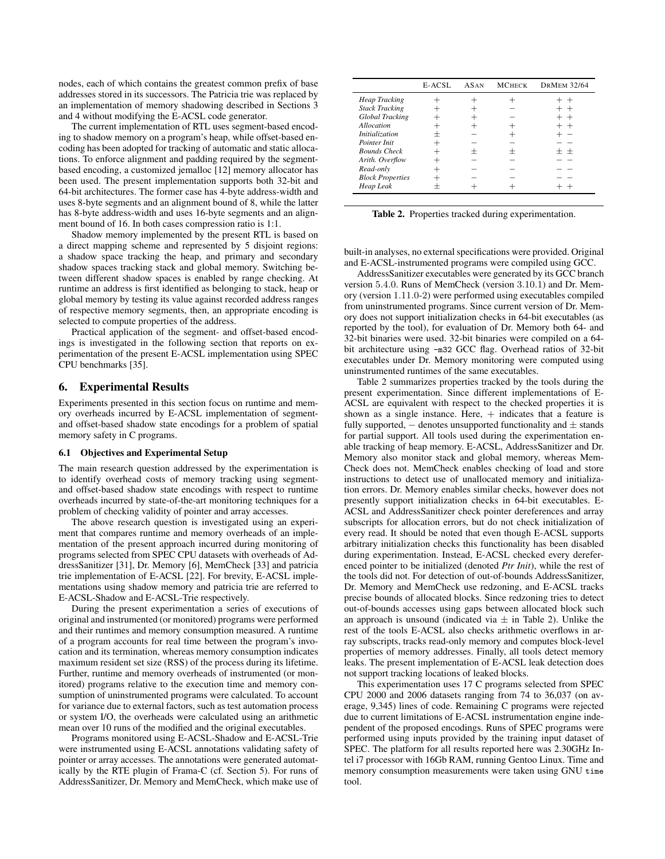nodes, each of which contains the greatest common prefix of base addresses stored in its successors. The Patricia trie was replaced by an implementation of memory shadowing described in Sections [3](#page-2-0) and [4](#page-3-0) without modifying the E-ACSL code generator.

The current implementation of RTL uses segment-based encoding to shadow memory on a program's heap, while offset-based encoding has been adopted for tracking of automatic and static allocations. To enforce alignment and padding required by the segmentbased encoding, a customized jemalloc [\[12\]](#page-10-26) memory allocator has been used. The present implementation supports both 32-bit and 64-bit architectures. The former case has 4-byte address-width and uses 8-byte segments and an alignment bound of 8, while the latter has 8-byte address-width and uses 16-byte segments and an alignment bound of 16. In both cases compression ratio is 1:1.

Shadow memory implemented by the present RTL is based on a direct mapping scheme and represented by 5 disjoint regions: a shadow space tracking the heap, and primary and secondary shadow spaces tracking stack and global memory. Switching between different shadow spaces is enabled by range checking. At runtime an address is first identified as belonging to stack, heap or global memory by testing its value against recorded address ranges of respective memory segments, then, an appropriate encoding is selected to compute properties of the address.

Practical application of the segment- and offset-based encodings is investigated in the following section that reports on experimentation of the present E-ACSL implementation using SPEC CPU benchmarks [\[35\]](#page-10-22).

## <span id="page-6-0"></span>6. Experimental Results

Experiments presented in this section focus on runtime and memory overheads incurred by E-ACSL implementation of segmentand offset-based shadow state encodings for a problem of spatial memory safety in C programs.

## 6.1 Objectives and Experimental Setup

The main research question addressed by the experimentation is to identify overhead costs of memory tracking using segmentand offset-based shadow state encodings with respect to runtime overheads incurred by state-of-the-art monitoring techniques for a problem of checking validity of pointer and array accesses.

The above research question is investigated using an experiment that compares runtime and memory overheads of an implementation of the present approach incurred during monitoring of programs selected from SPEC CPU datasets with overheads of AddressSanitizer [\[31\]](#page-10-2), Dr. Memory [\[6\]](#page-10-4), MemCheck [\[33\]](#page-10-5) and patricia trie implementation of E-ACSL [\[22\]](#page-10-16). For brevity, E-ACSL implementations using shadow memory and patricia trie are referred to E-ACSL-Shadow and E-ACSL-Trie respectively.

During the present experimentation a series of executions of original and instrumented (or monitored) programs were performed and their runtimes and memory consumption measured. A runtime of a program accounts for real time between the program's invocation and its termination, whereas memory consumption indicates maximum resident set size (RSS) of the process during its lifetime. Further, runtime and memory overheads of instrumented (or monitored) programs relative to the execution time and memory consumption of uninstrumented programs were calculated. To account for variance due to external factors, such as test automation process or system I/O, the overheads were calculated using an arithmetic mean over 10 runs of the modified and the original executables.

Programs monitored using E-ACSL-Shadow and E-ACSL-Trie were instrumented using E-ACSL annotations validating safety of pointer or array accesses. The annotations were generated automatically by the RTE plugin of Frama-C (cf. Section [5\)](#page-5-0). For runs of AddressSanitizer, Dr. Memory and MemCheck, which make use of

|                         | $E-ACSL$ | ASAN | <b>MCHECK</b> | <b>DRMEM 32/64</b> |
|-------------------------|----------|------|---------------|--------------------|
| <b>Heap Tracking</b>    |          |      |               |                    |
| <b>Stack Tracking</b>   |          |      |               | $+$                |
| Global Tracking         |          |      |               |                    |
| Allocation              |          |      |               | $^{+}$             |
| Initialization          |          |      |               |                    |
| Pointer Init            |          |      |               |                    |
| <b>Bounds Check</b>     |          |      |               | $++$               |
| Arith. Overflow         |          |      |               |                    |
| Read-only               |          |      |               |                    |
| <b>Block Properties</b> |          |      |               |                    |
| Heap Leak               |          |      |               |                    |

<span id="page-6-1"></span>Table 2. Properties tracked during experimentation.

built-in analyses, no external specifications were provided. Original and E-ACSL-instrumented programs were compiled using GCC.

AddressSanitizer executables were generated by its GCC branch version 5.4.0. Runs of MemCheck (version 3.10.1) and Dr. Memory (version 1.11.0-2) were performed using executables compiled from uninstrumented programs. Since current version of Dr. Memory does not support initialization checks in 64-bit executables (as reported by the tool), for evaluation of Dr. Memory both 64- and 32-bit binaries were used. 32-bit binaries were compiled on a 64 bit architecture using -m32 GCC flag. Overhead ratios of 32-bit executables under Dr. Memory monitoring were computed using uninstrumented runtimes of the same executables.

Table [2](#page-6-1) summarizes properties tracked by the tools during the present experimentation. Since different implementations of E-ACSL are equivalent with respect to the checked properties it is shown as a single instance. Here,  $+$  indicates that a feature is fully supported,  $-$  denotes unsupported functionality and  $\pm$  stands for partial support. All tools used during the experimentation enable tracking of heap memory. E-ACSL, AddressSanitizer and Dr. Memory also monitor stack and global memory, whereas Mem-Check does not. MemCheck enables checking of load and store instructions to detect use of unallocated memory and initialization errors. Dr. Memory enables similar checks, however does not presently support initialization checks in 64-bit executables. E-ACSL and AddressSanitizer check pointer dereferences and array subscripts for allocation errors, but do not check initialization of every read. It should be noted that even though E-ACSL supports arbitrary initialization checks this functionality has been disabled during experimentation. Instead, E-ACSL checked every dereferenced pointer to be initialized (denoted *Ptr Init*), while the rest of the tools did not. For detection of out-of-bounds AddressSanitizer, Dr. Memory and MemCheck use redzoning, and E-ACSL tracks precise bounds of allocated blocks. Since redzoning tries to detect out-of-bounds accesses using gaps between allocated block such an approach is unsound (indicated via  $\pm$  in Table [2\)](#page-6-1). Unlike the rest of the tools E-ACSL also checks arithmetic overflows in array subscripts, tracks read-only memory and computes block-level properties of memory addresses. Finally, all tools detect memory leaks. The present implementation of E-ACSL leak detection does not support tracking locations of leaked blocks.

This experimentation uses 17 C programs selected from SPEC CPU 2000 and 2006 datasets ranging from 74 to 36,037 (on average, 9,345) lines of code. Remaining C programs were rejected due to current limitations of E-ACSL instrumentation engine independent of the proposed encodings. Runs of SPEC programs were performed using inputs provided by the training input dataset of SPEC. The platform for all results reported here was 2.30GHz Intel i7 processor with 16Gb RAM, running Gentoo Linux. Time and memory consumption measurements were taken using GNU time tool.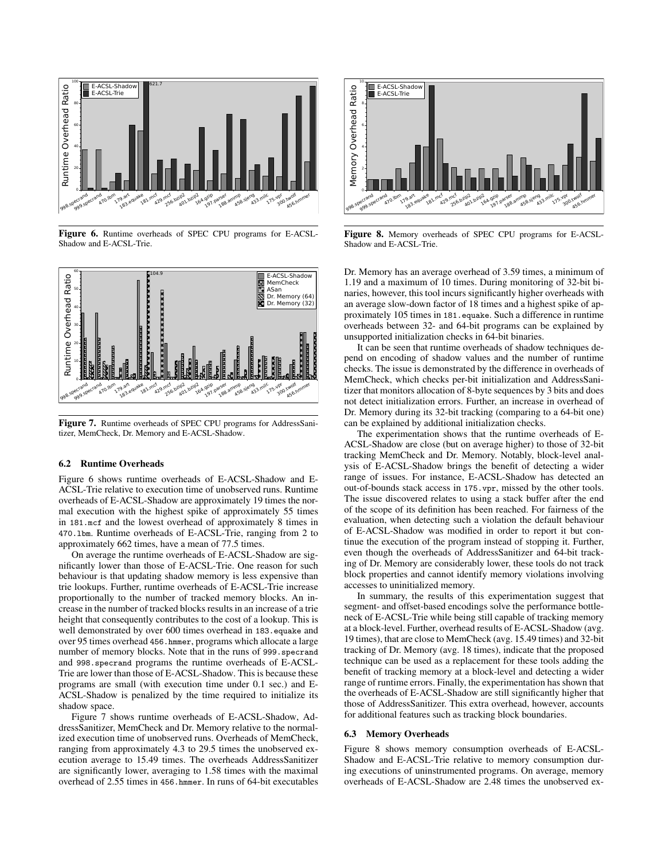

<span id="page-7-0"></span>Figure 6. Runtime overheads of SPEC CPU programs for E-ACSL-Shadow and E-ACSL-Trie.



<span id="page-7-1"></span>Figure 7. Runtime overheads of SPEC CPU programs for AddressSanitizer, MemCheck, Dr. Memory and E-ACSL-Shadow.

## 6.2 Runtime Overheads

Figure [6](#page-7-0) shows runtime overheads of E-ACSL-Shadow and E-ACSL-Trie relative to execution time of unobserved runs. Runtime overheads of E-ACSL-Shadow are approximately 19 times the normal execution with the highest spike of approximately 55 times in 181.mcf and the lowest overhead of approximately 8 times in 470.lbm. Runtime overheads of E-ACSL-Trie, ranging from 2 to approximately 662 times, have a mean of 77.5 times.

On average the runtime overheads of E-ACSL-Shadow are significantly lower than those of E-ACSL-Trie. One reason for such behaviour is that updating shadow memory is less expensive than trie lookups. Further, runtime overheads of E-ACSL-Trie increase proportionally to the number of tracked memory blocks. An increase in the number of tracked blocks results in an increase of a trie height that consequently contributes to the cost of a lookup. This is well demonstrated by over 600 times overhead in 183.equake and over 95 times overhead 456.hmmer, programs which allocate a large number of memory blocks. Note that in the runs of 999.specrand and 998.specrand programs the runtime overheads of E-ACSL-Trie are lower than those of E-ACSL-Shadow. This is because these programs are small (with execution time under 0.1 sec.) and E-ACSL-Shadow is penalized by the time required to initialize its shadow space.

Figure [7](#page-7-1) shows runtime overheads of E-ACSL-Shadow, AddressSanitizer, MemCheck and Dr. Memory relative to the normalized execution time of unobserved runs. Overheads of MemCheck, ranging from approximately 4.3 to 29.5 times the unobserved execution average to 15.49 times. The overheads AddressSanitizer are significantly lower, averaging to 1.58 times with the maximal overhead of 2.55 times in 456.hmmer. In runs of 64-bit executables



<span id="page-7-2"></span>Figure 8. Memory overheads of SPEC CPU programs for E-ACSL-Shadow and E-ACSL-Trie.

Dr. Memory has an average overhead of 3.59 times, a minimum of 1.19 and a maximum of 10 times. During monitoring of 32-bit binaries, however, this tool incurs significantly higher overheads with an average slow-down factor of 18 times and a highest spike of approximately 105 times in 181.equake. Such a difference in runtime overheads between 32- and 64-bit programs can be explained by unsupported initialization checks in 64-bit binaries.

It can be seen that runtime overheads of shadow techniques depend on encoding of shadow values and the number of runtime checks. The issue is demonstrated by the difference in overheads of MemCheck, which checks per-bit initialization and AddressSanitizer that monitors allocation of 8-byte sequences by 3 bits and does not detect initialization errors. Further, an increase in overhead of Dr. Memory during its 32-bit tracking (comparing to a 64-bit one) can be explained by additional initialization checks.

The experimentation shows that the runtime overheads of E-ACSL-Shadow are close (but on average higher) to those of 32-bit tracking MemCheck and Dr. Memory. Notably, block-level analysis of E-ACSL-Shadow brings the benefit of detecting a wider range of issues. For instance, E-ACSL-Shadow has detected an out-of-bounds stack access in 175.vpr, missed by the other tools. The issue discovered relates to using a stack buffer after the end of the scope of its definition has been reached. For fairness of the evaluation, when detecting such a violation the default behaviour of E-ACSL-Shadow was modified in order to report it but continue the execution of the program instead of stopping it. Further, even though the overheads of AddressSanitizer and 64-bit tracking of Dr. Memory are considerably lower, these tools do not track block properties and cannot identify memory violations involving accesses to uninitialized memory.

In summary, the results of this experimentation suggest that segment- and offset-based encodings solve the performance bottleneck of E-ACSL-Trie while being still capable of tracking memory at a block-level. Further, overhead results of E-ACSL-Shadow (avg. 19 times), that are close to MemCheck (avg. 15.49 times) and 32-bit tracking of Dr. Memory (avg. 18 times), indicate that the proposed technique can be used as a replacement for these tools adding the benefit of tracking memory at a block-level and detecting a wider range of runtime errors. Finally, the experimentation has shown that the overheads of E-ACSL-Shadow are still significantly higher that those of AddressSanitizer. This extra overhead, however, accounts for additional features such as tracking block boundaries.

#### 6.3 Memory Overheads

Figure [8](#page-7-2) shows memory consumption overheads of E-ACSL-Shadow and E-ACSL-Trie relative to memory consumption during executions of uninstrumented programs. On average, memory overheads of E-ACSL-Shadow are 2.48 times the unobserved ex-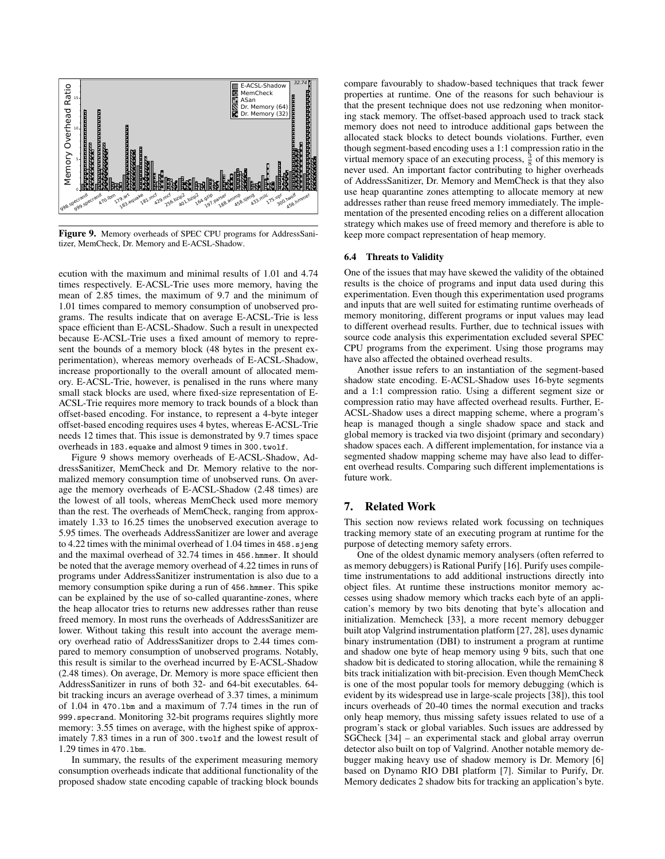

<span id="page-8-1"></span>Figure 9. Memory overheads of SPEC CPU programs for AddressSanitizer, MemCheck, Dr. Memory and E-ACSL-Shadow.

ecution with the maximum and minimal results of 1.01 and 4.74 times respectively. E-ACSL-Trie uses more memory, having the mean of 2.85 times, the maximum of 9.7 and the minimum of 1.01 times compared to memory consumption of unobserved programs. The results indicate that on average E-ACSL-Trie is less space efficient than E-ACSL-Shadow. Such a result in unexpected because E-ACSL-Trie uses a fixed amount of memory to represent the bounds of a memory block (48 bytes in the present experimentation), whereas memory overheads of E-ACSL-Shadow, increase proportionally to the overall amount of allocated memory. E-ACSL-Trie, however, is penalised in the runs where many small stack blocks are used, where fixed-size representation of E-ACSL-Trie requires more memory to track bounds of a block than offset-based encoding. For instance, to represent a 4-byte integer offset-based encoding requires uses 4 bytes, whereas E-ACSL-Trie needs 12 times that. This issue is demonstrated by 9.7 times space overheads in 183.equake and almost 9 times in 300.twolf.

Figure [9](#page-8-1) shows memory overheads of E-ACSL-Shadow, AddressSanitizer, MemCheck and Dr. Memory relative to the normalized memory consumption time of unobserved runs. On average the memory overheads of E-ACSL-Shadow (2.48 times) are the lowest of all tools, whereas MemCheck used more memory than the rest. The overheads of MemCheck, ranging from approximately 1.33 to 16.25 times the unobserved execution average to 5.95 times. The overheads AddressSanitizer are lower and average to 4.22 times with the minimal overhead of 1.04 times in 458.sjeng and the maximal overhead of 32.74 times in 456.hmmer. It should be noted that the average memory overhead of 4.22 times in runs of programs under AddressSanitizer instrumentation is also due to a memory consumption spike during a run of 456.hmmer. This spike can be explained by the use of so-called quarantine-zones, where the heap allocator tries to returns new addresses rather than reuse freed memory. In most runs the overheads of AddressSanitizer are lower. Without taking this result into account the average memory overhead ratio of AddressSanitizer drops to 2.44 times compared to memory consumption of unobserved programs. Notably, this result is similar to the overhead incurred by E-ACSL-Shadow (2.48 times). On average, Dr. Memory is more space efficient then AddressSanitizer in runs of both 32- and 64-bit executables. 64 bit tracking incurs an average overhead of 3.37 times, a minimum of 1.04 in 470.lbm and a maximum of 7.74 times in the run of 999.specrand. Monitoring 32-bit programs requires slightly more memory: 3.55 times on average, with the highest spike of approximately 7.83 times in a run of 300.twolf and the lowest result of 1.29 times in 470.lbm.

In summary, the results of the experiment measuring memory consumption overheads indicate that additional functionality of the proposed shadow state encoding capable of tracking block bounds compare favourably to shadow-based techniques that track fewer properties at runtime. One of the reasons for such behaviour is that the present technique does not use redzoning when monitoring stack memory. The offset-based approach used to track stack memory does not need to introduce additional gaps between the allocated stack blocks to detect bounds violations. Further, even though segment-based encoding uses a 1:1 compression ratio in the virtual memory space of an executing process,  $\frac{3}{8}$  of this memory is never used. An important factor contributing to higher overheads of AddressSanitizer, Dr. Memory and MemCheck is that they also use heap quarantine zones attempting to allocate memory at new addresses rather than reuse freed memory immediately. The implementation of the presented encoding relies on a different allocation strategy which makes use of freed memory and therefore is able to keep more compact representation of heap memory.

#### 6.4 Threats to Validity

One of the issues that may have skewed the validity of the obtained results is the choice of programs and input data used during this experimentation. Even though this experimentation used programs and inputs that are well suited for estimating runtime overheads of memory monitoring, different programs or input values may lead to different overhead results. Further, due to technical issues with source code analysis this experimentation excluded several SPEC CPU programs from the experiment. Using those programs may have also affected the obtained overhead results.

Another issue refers to an instantiation of the segment-based shadow state encoding. E-ACSL-Shadow uses 16-byte segments and a 1:1 compression ratio. Using a different segment size or compression ratio may have affected overhead results. Further, E-ACSL-Shadow uses a direct mapping scheme, where a program's heap is managed though a single shadow space and stack and global memory is tracked via two disjoint (primary and secondary) shadow spaces each. A different implementation, for instance via a segmented shadow mapping scheme may have also lead to different overhead results. Comparing such different implementations is future work.

#### <span id="page-8-0"></span>7. Related Work

This section now reviews related work focussing on techniques tracking memory state of an executing program at runtime for the purpose of detecting memory safety errors.

One of the oldest dynamic memory analysers (often referred to as memory debuggers) is Rational Purify [\[16\]](#page-10-1). Purify uses compiletime instrumentations to add additional instructions directly into object files. At runtime these instructions monitor memory accesses using shadow memory which tracks each byte of an application's memory by two bits denoting that byte's allocation and initialization. Memcheck [\[33\]](#page-10-5), a more recent memory debugger built atop Valgrind instrumentation platform [\[27,](#page-10-27) [28\]](#page-10-28), uses dynamic binary instrumentation (DBI) to instrument a program at runtime and shadow one byte of heap memory using 9 bits, such that one shadow bit is dedicated to storing allocation, while the remaining 8 bits track initialization with bit-precision. Even though MemCheck is one of the most popular tools for memory debugging (which is evident by its widespread use in large-scale projects [\[38\]](#page-10-7)), this tool incurs overheads of 20-40 times the normal execution and tracks only heap memory, thus missing safety issues related to use of a program's stack or global variables. Such issues are addressed by SGCheck [\[34\]](#page-10-29) – an experimental stack and global array overrun detector also built on top of Valgrind. Another notable memory debugger making heavy use of shadow memory is Dr. Memory [\[6\]](#page-10-4) based on Dynamo RIO DBI platform [\[7\]](#page-10-30). Similar to Purify, Dr. Memory dedicates 2 shadow bits for tracking an application's byte.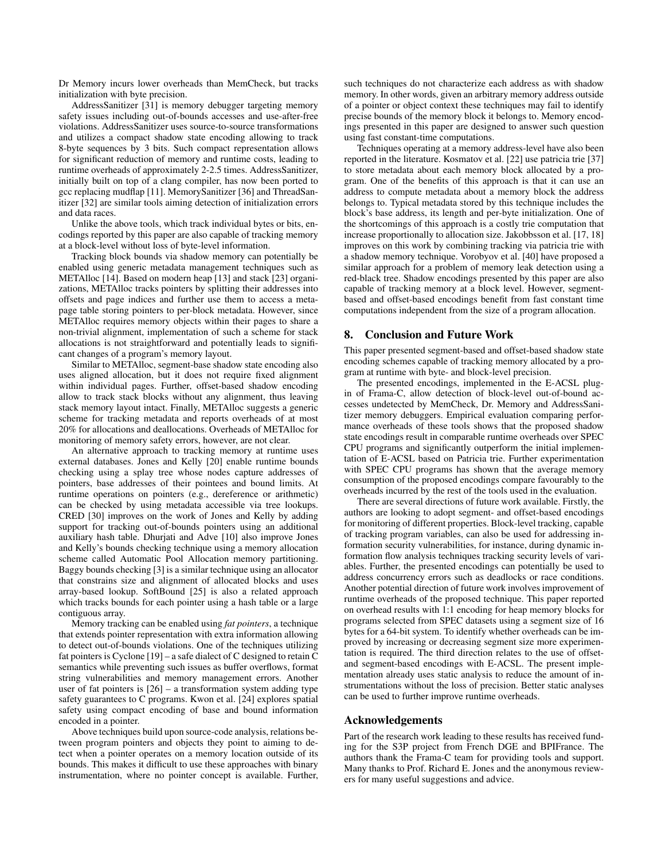Dr Memory incurs lower overheads than MemCheck, but tracks initialization with byte precision.

AddressSanitizer [\[31\]](#page-10-2) is memory debugger targeting memory safety issues including out-of-bounds accesses and use-after-free violations. AddressSanitizer uses source-to-source transformations and utilizes a compact shadow state encoding allowing to track 8-byte sequences by 3 bits. Such compact representation allows for significant reduction of memory and runtime costs, leading to runtime overheads of approximately 2-2.5 times. AddressSanitizer, initially built on top of a clang compiler, has now been ported to gcc replacing mudflap [\[11\]](#page-10-31). MemorySanitizer [\[36\]](#page-10-3) and ThreadSanitizer [\[32\]](#page-10-32) are similar tools aiming detection of initialization errors and data races.

Unlike the above tools, which track individual bytes or bits, encodings reported by this paper are also capable of tracking memory at a block-level without loss of byte-level information.

Tracking block bounds via shadow memory can potentially be enabled using generic metadata management techniques such as METAlloc [\[14\]](#page-10-18). Based on modern heap [\[13\]](#page-10-19) and stack [\[23\]](#page-10-20) organizations, METAlloc tracks pointers by splitting their addresses into offsets and page indices and further use them to access a metapage table storing pointers to per-block metadata. However, since METAlloc requires memory objects within their pages to share a non-trivial alignment, implementation of such a scheme for stack allocations is not straightforward and potentially leads to significant changes of a program's memory layout.

Similar to METAlloc, segment-base shadow state encoding also uses aligned allocation, but it does not require fixed alignment within individual pages. Further, offset-based shadow encoding allow to track stack blocks without any alignment, thus leaving stack memory layout intact. Finally, METAlloc suggests a generic scheme for tracking metadata and reports overheads of at most 20% for allocations and deallocations. Overheads of METAlloc for monitoring of memory safety errors, however, are not clear.

An alternative approach to tracking memory at runtime uses external databases. Jones and Kelly [\[20\]](#page-10-15) enable runtime bounds checking using a splay tree whose nodes capture addresses of pointers, base addresses of their pointees and bound limits. At runtime operations on pointers (e.g., dereference or arithmetic) can be checked by using metadata accessible via tree lookups. CRED [\[30\]](#page-10-17) improves on the work of Jones and Kelly by adding support for tracking out-of-bounds pointers using an additional auxiliary hash table. Dhurjati and Adve [\[10\]](#page-10-13) also improve Jones and Kelly's bounds checking technique using a memory allocation scheme called Automatic Pool Allocation memory partitioning. Baggy bounds checking [\[3\]](#page-10-12) is a similar technique using an allocator that constrains size and alignment of allocated blocks and uses array-based lookup. SoftBound [\[25\]](#page-10-33) is also a related approach which tracks bounds for each pointer using a hash table or a large contiguous array.

Memory tracking can be enabled using *fat pointers*, a technique that extends pointer representation with extra information allowing to detect out-of-bounds violations. One of the techniques utilizing fat pointers is Cyclone [\[19\]](#page-10-34) – a safe dialect of C designed to retain  $\overline{C}$ semantics while preventing such issues as buffer overflows, format string vulnerabilities and memory management errors. Another user of fat pointers is [\[26\]](#page-10-35) – a transformation system adding type safety guarantees to C programs. Kwon et al. [\[24\]](#page-10-36) explores spatial safety using compact encoding of base and bound information encoded in a pointer.

Above techniques build upon source-code analysis, relations between program pointers and objects they point to aiming to detect when a pointer operates on a memory location outside of its bounds. This makes it difficult to use these approaches with binary instrumentation, where no pointer concept is available. Further,

such techniques do not characterize each address as with shadow memory. In other words, given an arbitrary memory address outside of a pointer or object context these techniques may fail to identify precise bounds of the memory block it belongs to. Memory encodings presented in this paper are designed to answer such question using fast constant-time computations.

Techniques operating at a memory address-level have also been reported in the literature. Kosmatov et al. [\[22\]](#page-10-16) use patricia trie [\[37\]](#page-10-37) to store metadata about each memory block allocated by a program. One of the benefits of this approach is that it can use an address to compute metadata about a memory block the address belongs to. Typical metadata stored by this technique includes the block's base address, its length and per-byte initialization. One of the shortcomings of this approach is a costly trie computation that increase proportionally to allocation size. Jakobbsson et al. [\[17,](#page-10-14) [18\]](#page-10-25) improves on this work by combining tracking via patricia trie with a shadow memory technique. Vorobyov et al. [\[40\]](#page-11-2) have proposed a similar approach for a problem of memory leak detection using a red-black tree. Shadow encodings presented by this paper are also capable of tracking memory at a block level. However, segmentbased and offset-based encodings benefit from fast constant time computations independent from the size of a program allocation.

## <span id="page-9-0"></span>**8. Conclusion and Future Work**

This paper presented segment-based and offset-based shadow state encoding schemes capable of tracking memory allocated by a program at runtime with byte- and block-level precision.

The presented encodings, implemented in the E-ACSL plugin of Frama-C, allow detection of block-level out-of-bound accesses undetected by MemCheck, Dr. Memory and AddressSanitizer memory debuggers. Empirical evaluation comparing performance overheads of these tools shows that the proposed shadow state encodings result in comparable runtime overheads over SPEC CPU programs and significantly outperform the initial implementation of E-ACSL based on Patricia trie. Further experimentation with SPEC CPU programs has shown that the average memory consumption of the proposed encodings compare favourably to the overheads incurred by the rest of the tools used in the evaluation.

There are several directions of future work available. Firstly, the authors are looking to adopt segment- and offset-based encodings for monitoring of different properties. Block-level tracking, capable of tracking program variables, can also be used for addressing information security vulnerabilities, for instance, during dynamic information flow analysis techniques tracking security levels of variables. Further, the presented encodings can potentially be used to address concurrency errors such as deadlocks or race conditions. Another potential direction of future work involves improvement of runtime overheads of the proposed technique. This paper reported on overhead results with 1:1 encoding for heap memory blocks for programs selected from SPEC datasets using a segment size of 16 bytes for a 64-bit system. To identify whether overheads can be improved by increasing or decreasing segment size more experimentation is required. The third direction relates to the use of offsetand segment-based encodings with E-ACSL. The present implementation already uses static analysis to reduce the amount of instrumentations without the loss of precision. Better static analyses can be used to further improve runtime overheads.

## Acknowledgements

Part of the research work leading to these results has received funding for the S3P project from French DGE and BPIFrance. The authors thank the Frama-C team for providing tools and support. Many thanks to Prof. Richard E. Jones and the anonymous reviewers for many useful suggestions and advice.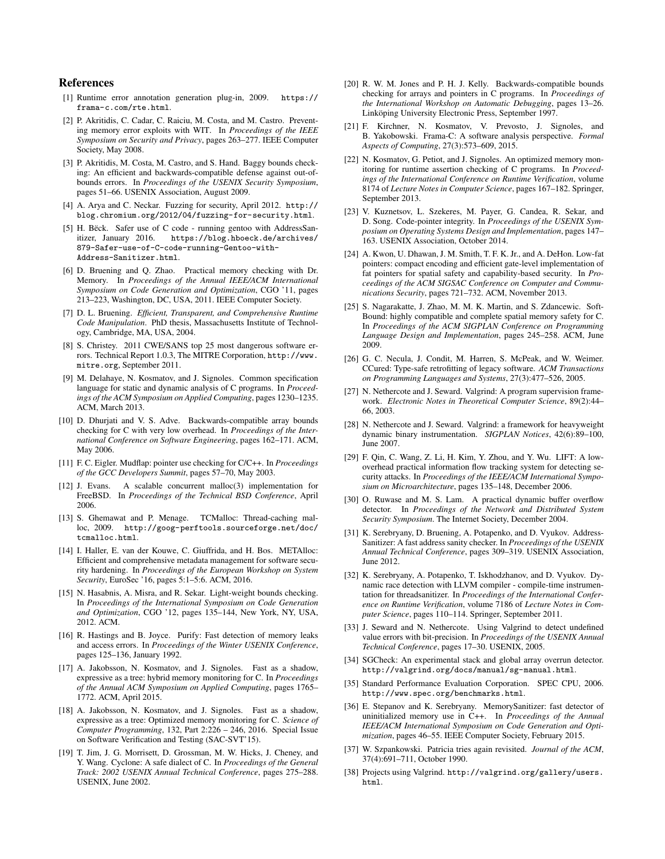## References

- <span id="page-10-24"></span>[1] Runtime error annotation generation plug-in, 2009. [https://](https://frama-c.com/rte.html) [frama-c.com/rte.html](https://frama-c.com/rte.html).
- <span id="page-10-10"></span>[2] P. Akritidis, C. Cadar, C. Raiciu, M. Costa, and M. Castro. Preventing memory error exploits with WIT. In *Proceedings of the IEEE Symposium on Security and Privacy*, pages 263–277. IEEE Computer Society, May 2008.
- <span id="page-10-12"></span>[3] P. Akritidis, M. Costa, M. Castro, and S. Hand. Baggy bounds checking: An efficient and backwards-compatible defense against out-ofbounds errors. In *Proceedings of the USENIX Security Symposium*, pages 51–66. USENIX Association, August 2009.
- <span id="page-10-6"></span>[4] A. Arya and C. Neckar. Fuzzing for security, April 2012. [http://](http://blog.chromium.org/2012/04/fuzzing-for-security.html) [blog.chromium.org/2012/04/fuzzing-for-security.html](http://blog.chromium.org/2012/04/fuzzing-for-security.html).
- <span id="page-10-8"></span>[5] H. Bëck. Safer use of C code - running gentoo with AddressSanitizer, January 2016. https://blog.hboeck.de/archives/ 879-Safer-use-of-C-code-running-Gentoo-with-Address-Sanitizer.html.
- <span id="page-10-4"></span>[6] D. Bruening and Q. Zhao. Practical memory checking with Dr. Memory. In *Proceedings of the Annual IEEE/ACM International Symposium on Code Generation and Optimization*, CGO '11, pages 213–223, Washington, DC, USA, 2011. IEEE Computer Society.
- <span id="page-10-30"></span>[7] D. L. Bruening. *Efficient, Transparent, and Comprehensive Runtime Code Manipulation*. PhD thesis, Massachusetts Institute of Technology, Cambridge, MA, USA, 2004.
- <span id="page-10-0"></span>[8] S. Christey. 2011 CWE/SANS top 25 most dangerous software errors. Technical Report 1.0.3, The MITRE Corporation, [http://www.](http://www.mitre.org) [mitre.org](http://www.mitre.org), September 2011.
- <span id="page-10-21"></span>[9] M. Delahaye, N. Kosmatov, and J. Signoles. Common specification language for static and dynamic analysis of C programs. In *Proceedings of the ACM Symposium on Applied Computing*, pages 1230–1235. ACM, March 2013.
- <span id="page-10-13"></span>[10] D. Dhurjati and V. S. Adve. Backwards-compatible array bounds checking for C with very low overhead. In *Proceedings of the International Conference on Software Engineering*, pages 162–171. ACM, May 2006.
- <span id="page-10-31"></span>[11] F. C. Eigler. Mudflap: pointer use checking for C/C++. In *Proceedings of the GCC Developers Summit*, pages 57–70, May 2003.
- <span id="page-10-26"></span>[12] J. Evans. A scalable concurrent malloc(3) implementation for FreeBSD. In *Proceedings of the Technical BSD Conference*, April 2006.
- <span id="page-10-19"></span>[13] S. Ghemawat and P. Menage. TCMalloc: Thread-caching malloc, 2009. [http://goog-perftools.sourceforge.net/doc/](http://goog-perftools.sourceforge.net/doc/tcmalloc.html) [tcmalloc.html](http://goog-perftools.sourceforge.net/doc/tcmalloc.html).
- <span id="page-10-18"></span>[14] I. Haller, E. van der Kouwe, C. Giuffrida, and H. Bos. METAlloc: Efficient and comprehensive metadata management for software security hardening. In *Proceedings of the European Workshop on System Security*, EuroSec '16, pages 5:1–5:6. ACM, 2016.
- <span id="page-10-11"></span>[15] N. Hasabnis, A. Misra, and R. Sekar. Light-weight bounds checking. In *Proceedings of the International Symposium on Code Generation and Optimization*, CGO '12, pages 135–144, New York, NY, USA, 2012. ACM.
- <span id="page-10-1"></span>[16] R. Hastings and B. Joyce. Purify: Fast detection of memory leaks and access errors. In *Proceedings of the Winter USENIX Conference*, pages 125–136, January 1992.
- <span id="page-10-14"></span>[17] A. Jakobsson, N. Kosmatov, and J. Signoles. Fast as a shadow, expressive as a tree: hybrid memory monitoring for C. In *Proceedings of the Annual ACM Symposium on Applied Computing*, pages 1765– 1772. ACM, April 2015.
- <span id="page-10-25"></span>[18] A. Jakobsson, N. Kosmatov, and J. Signoles. Fast as a shadow, expressive as a tree: Optimized memory monitoring for C. *Science of Computer Programming*, 132, Part 2:226 – 246, 2016. Special Issue on Software Verification and Testing (SAC-SVT'15).
- <span id="page-10-34"></span>[19] T. Jim, J. G. Morrisett, D. Grossman, M. W. Hicks, J. Cheney, and Y. Wang. Cyclone: A safe dialect of C. In *Proceedings of the General Track: 2002 USENIX Annual Technical Conference*, pages 275–288. USENIX, June 2002.
- <span id="page-10-15"></span>[20] R. W. M. Jones and P. H. J. Kelly. Backwards-compatible bounds checking for arrays and pointers in C programs. In *Proceedings of the International Workshop on Automatic Debugging*, pages 13–26. Linköping University Electronic Press, September 1997.
- <span id="page-10-23"></span>[21] F. Kirchner, N. Kosmatov, V. Prevosto, J. Signoles, and B. Yakobowski. Frama-C: A software analysis perspective. *Formal Aspects of Computing*, 27(3):573–609, 2015.
- <span id="page-10-16"></span>[22] N. Kosmatov, G. Petiot, and J. Signoles. An optimized memory monitoring for runtime assertion checking of C programs. In *Proceedings of the International Conference on Runtime Verification*, volume 8174 of *Lecture Notes in Computer Science*, pages 167–182. Springer, September 2013.
- <span id="page-10-20"></span>[23] V. Kuznetsov, L. Szekeres, M. Payer, G. Candea, R. Sekar, and D. Song. Code-pointer integrity. In *Proceedings of the USENIX Symposium on Operating Systems Design and Implementation*, pages 147– 163. USENIX Association, October 2014.
- <span id="page-10-36"></span>[24] A. Kwon, U. Dhawan, J. M. Smith, T. F. K. Jr., and A. DeHon. Low-fat pointers: compact encoding and efficient gate-level implementation of fat pointers for spatial safety and capability-based security. In *Proceedings of the ACM SIGSAC Conference on Computer and Communications Security*, pages 721–732. ACM, November 2013.
- <span id="page-10-33"></span>[25] S. Nagarakatte, J. Zhao, M. M. K. Martin, and S. Zdancewic. Soft-Bound: highly compatible and complete spatial memory safety for C. In *Proceedings of the ACM SIGPLAN Conference on Programming Language Design and Implementation*, pages 245–258. ACM, June 2009.
- <span id="page-10-35"></span>[26] G. C. Necula, J. Condit, M. Harren, S. McPeak, and W. Weimer. CCured: Type-safe retrofitting of legacy software. *ACM Transactions on Programming Languages and Systems*, 27(3):477–526, 2005.
- <span id="page-10-27"></span>[27] N. Nethercote and J. Seward. Valgrind: A program supervision framework. *Electronic Notes in Theoretical Computer Science*, 89(2):44– 66, 2003.
- <span id="page-10-28"></span>[28] N. Nethercote and J. Seward. Valgrind: a framework for heavyweight dynamic binary instrumentation. *SIGPLAN Notices*, 42(6):89–100, June 2007.
- <span id="page-10-9"></span>[29] F. Qin, C. Wang, Z. Li, H. Kim, Y. Zhou, and Y. Wu. LIFT: A lowoverhead practical information flow tracking system for detecting security attacks. In *Proceedings of the IEEE/ACM International Symposium on Microarchitecture*, pages 135–148, December 2006.
- <span id="page-10-17"></span>[30] O. Ruwase and M. S. Lam. A practical dynamic buffer overflow detector. In *Proceedings of the Network and Distributed System Security Symposium*. The Internet Society, December 2004.
- <span id="page-10-2"></span>[31] K. Serebryany, D. Bruening, A. Potapenko, and D. Vyukov. Address-Sanitizer: A fast address sanity checker. In *Proceedings of the USENIX Annual Technical Conference*, pages 309–319. USENIX Association, June 2012.
- <span id="page-10-32"></span>[32] K. Serebryany, A. Potapenko, T. Iskhodzhanov, and D. Vyukov. Dynamic race detection with LLVM compiler - compile-time instrumentation for threadsanitizer. In *Proceedings of the International Conference on Runtime Verification*, volume 7186 of *Lecture Notes in Computer Science*, pages 110–114. Springer, September 2011.
- <span id="page-10-5"></span>[33] J. Seward and N. Nethercote. Using Valgrind to detect undefined value errors with bit-precision. In *Proceedings of the USENIX Annual Technical Conference*, pages 17–30. USENIX, 2005.
- <span id="page-10-29"></span>[34] SGCheck: An experimental stack and global array overrun detector. <http://valgrind.org/docs/manual/sg-manual.html>.
- <span id="page-10-22"></span>[35] Standard Performance Evaluation Corporation. SPEC CPU, 2006. <http://www.spec.org/benchmarks.html>.
- <span id="page-10-3"></span>[36] E. Stepanov and K. Serebryany. MemorySanitizer: fast detector of uninitialized memory use in C++. In *Proceedings of the Annual IEEE/ACM International Symposium on Code Generation and Optimization*, pages 46–55. IEEE Computer Society, February 2015.
- <span id="page-10-37"></span>[37] W. Szpankowski. Patricia tries again revisited. *Journal of the ACM*, 37(4):691–711, October 1990.
- <span id="page-10-7"></span>[38] Projects using Valgrind. [http://valgrind.org/gallery/users.](http://valgrind.org/gallery/users.html) [html](http://valgrind.org/gallery/users.html).